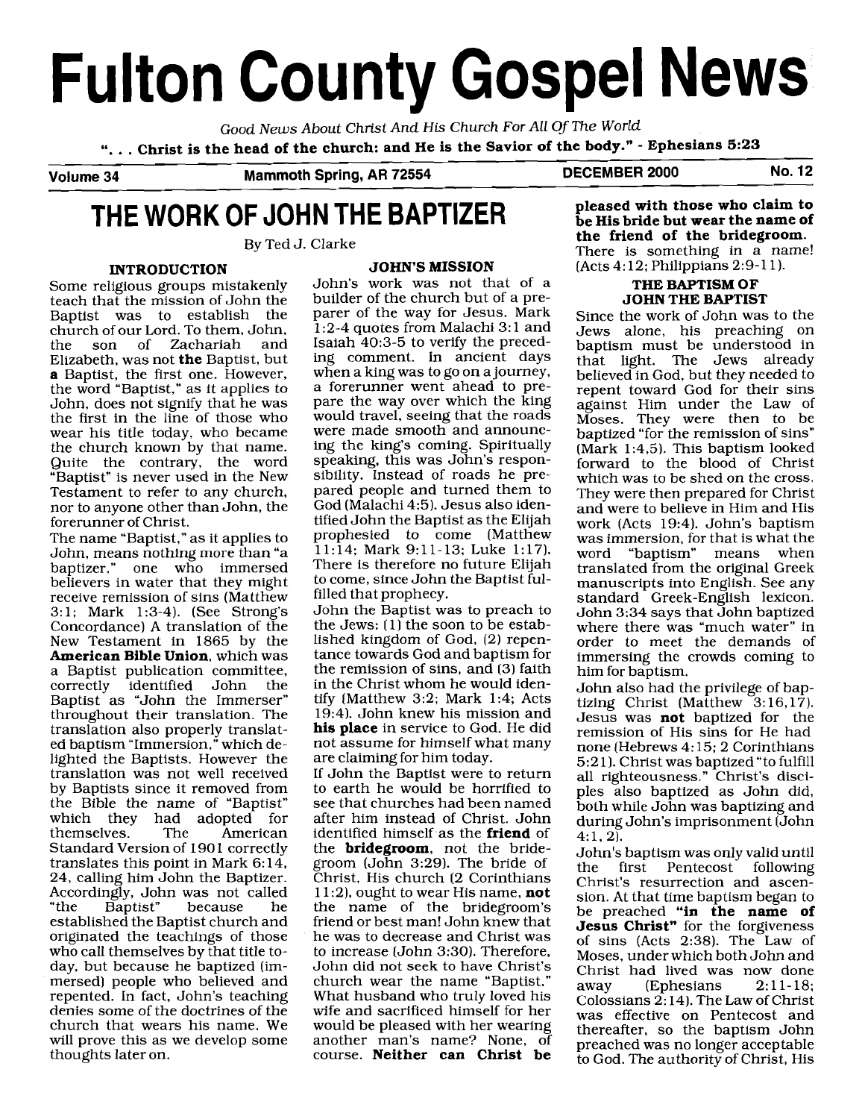# **Fulton County Gospel News**

Good News About Christ And His Church For All Of The World ". . . **Christ is the head of the church: and He is the Savior of the body."** - **Ephesians 5:23** 

**Volume 34 Mammoth Spring, AR 72554 DECEMBER 2000 No. 12** 

## **THE WORK OF JOHN THE BAPTIZER**

By Ted J. Clarke

#### **INTRODUCTION**

Some religious groups mistakenly teach that the mission of John the Baptist was to establish church of our Lord. To them, John,<br>the son of Zachariah and of Zachariah Elizabeth, was not **the** Baptist, but **a** Baptist, the first one. However, the word "Baptist," as it applies to John, does not signify that he was the first in the line of those who wear his title today, who became the church known by that name. Quite the contrary, the word "Baptist" is never used in the New Testament to refer to any church, nor to anyone other than John, the forerunner of Christ.

The name "Baptist," as it applies to John, means nothing more than "a baptizer," one who immersed believers in water that they might receive remission of sins (Matthew 3:l; Mark 1:3-4). (See Strong's Concordance) A translation of the New Testament in 1865 by the **American Bible Union,** which was a Baptist publication committee, correctly identified John the Baptist as "John the Immerser" throughout their translation. The translation also properly translated baptism "Immersion," which delighted the Baptists. However the translation was not well received by Baptists since it removed from the Bible the name of "Baptist" which they had adopted for<br>themselves. The American themselves. Standard Version of 1901 correctly translates this point in Mark 6: 14, 24, calling him John the Baptizer. Accordingly, John was not called<br>"the Baptist" because he because established the Baptist church and originated the teachings of those who call themselves by that title today, but because he baptized (immersed) people who believed and repented. In fact, John's teaching denies some of the doctrines of the church that wears his name. We will prove this as we develop some thoughts later on.

#### **JOHN'S MISSION**

John's work was not that of a builder of the church but of a preparer of the way for Jesus. Mark 1 :2-4 quotes from Malachi 3: 1 and Isaiah 40:3-5 to verify the preceding comment. In ancient days when a king was to go on a journey, a forerunner went ahead to prepare the way over which the king would travel, seeing that the roads were made smooth and announcing the king's coming. Spiritually speaking, this was John's responsibility. Instead of roads he prepared people and turned them to God (Malachi 4:5). Jesus also identified John the Baptist as the Elijah prophesied to come (Matthew 11:14; Mark 9:ll-13; Luke 1:17). There is therefore no future Elijah to come, since John the Baptist fulfilled that prophecy.

John the Baptist was to preach to the Jews:  $(1)$  the soon to be established kingdom of God, (2) repentance towards God and baptism for the remission of sins, and (3) faith in the Christ whom he would identify [Matthew 3:2; Mark 1:4; Acts 19:4). John knew his mission and **his place** in service to God. He did not assume for himself what many are claiming for him today.

If John the Baptist were to return to earth he would be horrified to see that churches had been named after him instead of Christ. John identified himself as the **friend** of the **bridegroom,** not the bridegroom (John 3:29). The bride of Christ, His church (2 Corinthians 11:2), ought to wear His name, **not**  the name of the bridegroom's friend or best man! John knew that he was to decrease and Christ was to increase (John 3:30). Therefore, John did not seek to have Christ's church wear the name "Baptist." What husband who truly loved his wife and sacrificed himself for her would be pleased with her wearing another man's name? None, of course. **Neither can Christ be**  **pleased with those who claim to be His bride but wear the name of the friend of the bridegroom.**  There is something in a name! (Acts 4:12; Philippians 2:9-11).

#### **THE BAPTISM OF JOHN THE BAPTIST**

Since the work of John was to the Jews alone, his preaching on baptism must be understood in that light. The Jews already believed in God, but they needed to repent toward God for their sins against Him under the Law of Moses. They were then to be baptized "for the remission of sins" (Mark 1:4,5). This baptism looked forward to the blood of Christ which was to be shed on the cross. They were then prepared for Christ and were to believe in Him and His work (Acts 19:4). John's baptism was immersion, for that is what the<br>word "bantism" means when "baptism" means when translated from the original Greek manuscripts into English. See any standard Greek-English lexicon. John 3:34 says that John baptized where there was "much water" in order to meet the demands of immersing the crowds coming to him for baptism.

John also had the privilege of baptizing Christ (Matthew 3:16,17). Jesus was **not** baptized for the remission of His sins for He had none (Hebrews 4: 15; 2 Corinthians 5:2 11. Christ was baptized "to fulfill all righteousness." Christ's disciples also baptized as John did, both while John was baptizing and during John's imprisonment (John  $4:1, 2$ ).

John's baptism was only valid until Pentecost following Christ's resurrection and ascension. At that time baptism began to be preached **"in the name of Jesus Christ"** for the forgiveness of sins (Acts 2:38). The Law of Moses, under which both John and Christ had lived was now done<br>away (Ephesians 2:11-18; (Ephesians Colossians 2: 14). The Law of Christ was effective on Pentecost and thereafter, so the baptism John preached was no longer acceptable to God. The authority of Christ, His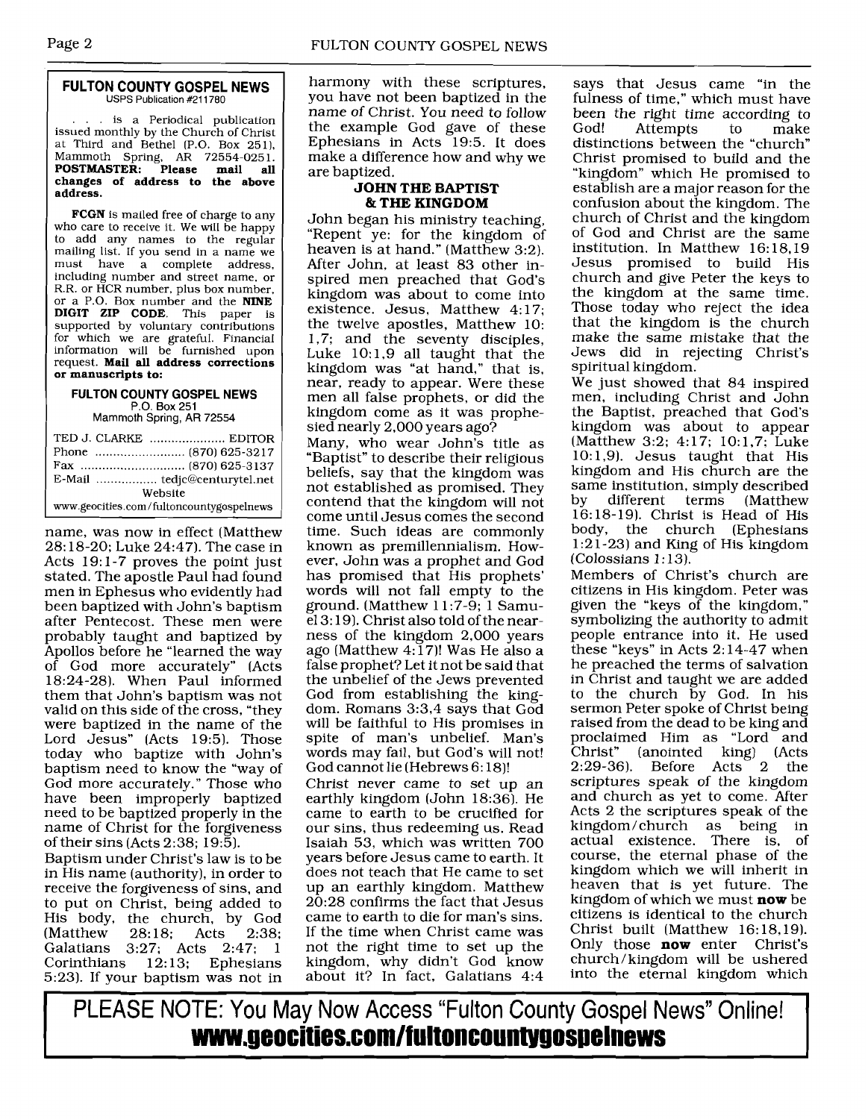#### **FULTON COUNTY GOSPEL NEWS**  USPS Publication #211780

.. is a Periodical publication issued monthly by the Church of Christ at Third and Bethel (P.O. Box 251). Mammoth Spring, AR 72554-0251. **POSTMASTER: Please mail all changes of address to the above address.** 

**FCGN** is mailed free of charge to any who care to receive it. We will be happy to add any names to the regular mailing list. If you send in a name we<br>must have a complete address. have a complete address, including number and street name, or R.R. or HCR number, plus box number, or a P.O. Box number and the **NINE DIGIT ZIP CODE.** This paper is supported by voluntary contributions for which we are grateful. Financial information will be furnished upon request. **Mail all address corrections or manuscripts to:** 

#### **FULTON COUNTY GOSPEL NEWS P.O.** Box 251

Mammoth Spring, AR 72554

| Website                                  |  |
|------------------------------------------|--|
| www.geocities.com/fultoncountygospelnews |  |

name, was now in effect (Matthew 28: 18-20; Luke 24:47). The case in Acts 19: 1-7 proves the point just stated. The apostle Paul had found men in Ephesus who evidently had been baptized with John's baptism after Pentecost. These men were probably taught and baptized by Apollos before he "learned the way of God more accurately" (Acts 18:24-28). When Paul informed them that John's baptism was not valid on this side of the cross, "they were baptized in the name of the Lord Jesus" (Acts 19:5). Those today who baptize with John's baptism need to know the "way of God more accurately." Those who have been improperly baptized need to be baptized properly in the name of Christ for the forgiveness of their sins (Acts 2:38; 19:51.

Baptism under Christ's law is to be in His name (authority), in order to receive the forgiveness of sins, and to put on Christ, being added to His body, the church, by God (Matthew 28:18; Acts 2:38; (Matthew 28:18; Acts 2:38; Galatians 3:27; Acts 2:47; 1 Corinthians 12:13; Ephesians 5:23). If your baptism was not in

harmony with these scriptures, you have not been baptized in the name of Christ. You need to follow the example God gave of these Ephesians in Acts 19:5. It does make a difference how and why we are baptized.

#### **JOHN THE BAPTIST**  & **THE KINGDOM**

John began his ministry teaching, "Repent ye: for the kingdom of heaven is at hand." (Matthew 3:2). After John, at least 83 other inspired men preached that God's kingdom was about to come into existence. Jesus, Matthew 4:17; the twelve apostles, Matthew 10: 1,7; and the seventy disciples, Luke  $10:1,9$  all taught that the kingdom was "at hand," that is, near, ready to appear. Were these men all false prophets, or did the kingdom come as it was prophesied nearly 2,000 years ago?

Many, who wear John's title as "Baptist" to describe their religious beliefs, say that the kingdom was not established as promised. They contend that the kingdom will not come until Jesus comes the second time. Such ideas are commonly known as premillennialism. However, John was a prophet and God has promised that His prophets' words will not fall empty to the ground. (Matthew 1 1 :7-9; 1 Samu $el 3:19$ ). Christ also told of the nearness of the kingdom 2,000 years ago (Matthew  $4:17$ )! Was He also a false prophet? Let it not be said that the unbelief of the Jews prevented God from establishing the kingdom. Romans 3:3,4 says that God will be faithful to His promises in spite of man's unbelief. Man's words may fail, but God's will not! God cannot lie (Hebrews 6: 18)!

Christ never came to set up an earthly kingdom (John 18:361. He came to earth to be crucified for our sins, thus redeeming us. Read Isaiah 53, which was written 700 years before Jesus came to earth. It does not teach that He came to set up an earthly kingdom. Matthew 20:28 confirms the fact that Jesus came to earth to die for man's sins. If the time when Christ came was not the right time to set up the kingdom, why didn't God know about it? In fact, Galatians 4:4

says that Jesus came "in the fulness of time," which must have been the right time according to<br>God! Attempts to make Attempts to make distinctions between the "church" Christ promised to build and the "kingdom" which He promised to establish are a major reason for the confusion about the kingdom. The church of Christ and the kingdom of God and Christ are the same institution. In Matthew 16: 18.19 Jesus promised to build His church and give Peter the keys to the kingdom at the same time. Those today who reject the idea that the kingdom is the church make the same mistake that the Jews did in rejecting Christ's spiritual kingdom.

We just showed that 84 inspired men, including Christ and John the Baptist, preached that God's kingdom was about to appear (Matthew 3:2; 4:17; 10:1,7; Luke 10:1,9). Jesus taught that His kingdom and His church are the same institution, simply described<br>by different terms (Matthew different terms (Matthew 16:18-19). Christ is Head of His body, the church (Ephesians 1 :2 1-23) and King of His kingdom  $(Colossians 1:13)$ .

Members of Christ's church are citizens in His kingdom. Peter was given the "keys of the kingdom," symbolizing the authority to admit people entrance into it. He used these "keys" in Acts 2: 14-47 when he preached the terms of salvation in Christ and taught we are added to the church by God. In his sermon Peter spoke of Christ being raised from the dead to be king and proclaimed Him as "Lord and<br>Christ" (anointed king) (Acts (anointed king) (Acts<br>Before Acts 2 the  $2:29-36$ ). Before Acts scriptures speak of the kingdom and church as yet to come. After Acts 2 the scriptures speak of the kingdom/church as being in actual existence. There is, of course, the eternal phase of the kingdom which we will inherit in heaven that is yet future. The kingdom of which we must **now** be citizens is identical to the church Christ built (Matthew 16:18.19). Only those **now** enter Christ's church/kingdom will be ushered into the eternal kingdom which

PLEASE NOTE: You May Now Access "Fulton County Gospel News" Online! **wmnr.geocities.comlfultoncountygos~elnews**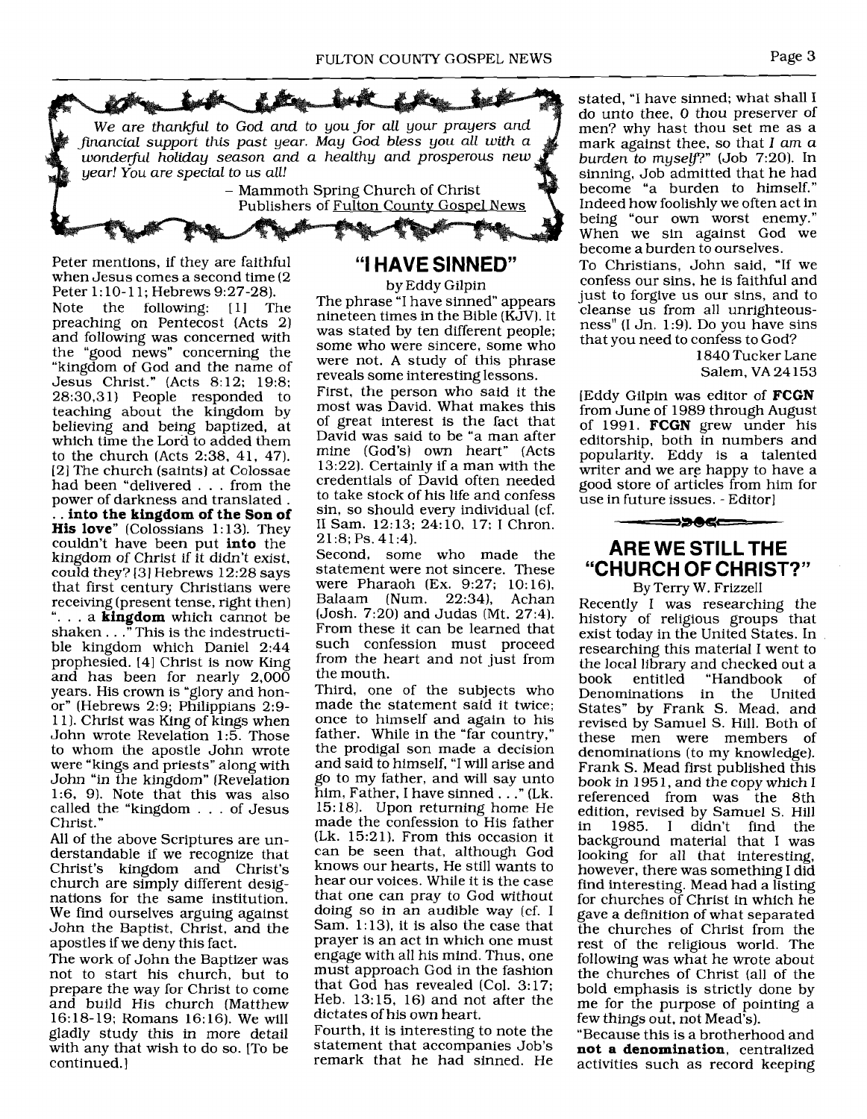

Peter mentions, if they are faithful when Jesus comes a second time (2

Peter 1:10-11; Hebrews 9:27-28).<br>Note the following: [1] The Note the following: [ 11 The preaching on Pentecost (Acts 2) and following was concerned with the "good news" concerning the "kingdom of God and the name of Jesus Christ." (Acts 8:12; 19:8; 28:30,3 1) People responded to teaching about the kingdom by believing and being baptized, at which time the Lord to added them to the church (Acts 2:38, 41, 47). [2] The church (saints) at Colossae had been "delivered . . . from the power of darkness and translated . power of darkness and translated . . . **into the kingdom of the Son of His love"** (Colossians 1:13). They couldn't have been put **into** the kingdom of Christ if it didn't exist, could they? **[31** Hebrews 12:28 says that first century Christians were<br>receiving (present tense, right then) "... a **kingdom** which cannot be shaken . . ." This is the indestructible kingdom which Daniel 2:44 prophesied. [4] Christ is now King and has been for nearly 2,000 years. His crown is "glory and honor" (Hebrews 2:9; Philippians 2:9- 1 1 1. Christ was King of kings when John wrote Revelation 1:5. Those to whom the apostle John wrote were "kings and priests" along with John "in the kingdom" [Revelation 1:6, 9). Note that this was also called the "kingdom . . . of Jesus Christ."

All of the above Scriptures are understandable if we recognize that Christ's kingdom and Christ's church are simply different designations for the same institution. We find ourselves arguing against John the Baptist, Christ, and the apostles if we deny this fact.

The work of John the Baptizer was not to start his church, but to prepare the way for Christ to come and build His church (Matthew 16:18-19; Romans 16: 16). We will gladly study this in more detail with any that wish to do so. [To be continued.]

## **"I HAVE SINNED"**

by Eddy Gilpin The phrase "I have sinned" appears nineteen times in the Bible (KJV). It was stated by ten different people; some who were sincere, some who were not. **A** study of this phrase reveals some interesting lessons.

First, the person who said it the most was David. What makes this of great interest is the fact that David was said to be "a man after mine (God's) own heart" (Acts 13:221. Certainly if a man with the credentials of David often needed to take stock of his life and confess sin, so should every individual (cf. I1 Sam. 12: 13; 24: 10, 17: I Chron. 21:8; Ps. 41:4).

Second, some who made the statement were not sincere. These were Pharaoh (Ex. 9:27; 10:16), Balaam (Num. 22:34), Achan (Josh. 7:20) and Judas (Mt. 27:4). From these it can be learned that such confession must proceed from the heart and not just from the mouth.

Third, one of the subjects who made the statement said it twice; once to himself and again to his father. While in the "far country," the prodigal son made a decision and said to himself, "I will arise and go to my father, and will say unto him, Father, I have sinned . . ." (Lk. 15:18). Upon returning home He made the confession to His father (Lk. 15:21). From this occasion it can be seen that, although God knows our hearts, He still wants to hear our voices. While it is the case that one can pray to God without doing so in an audible way (cf. I Sam. 1:13), it is also the case that prayer is an act in which one must engage with all his mind. Thus, one must approach God in the fashion that God has revealed (Col. 3:17; Heb. 13: 15, 16) and not after the dictates of his own heart.

Fourth, it is interesting to note the statement that accompanies Job's remark that he had sinned. He stated, "I have sinned; what shall I do unto thee, 0 thou preserver of men? why hast thou set me as a mark against thee, so that *I* am a burden to myself?" (Job 7:20). In sinning, Job admitted that he had become "a burden to himself." Indeed how foolishly we often act in being "our own worst enemy." When we sin against God we become a burden to ourselves.

To Christians, John said, "If we confess our sins, he is faithful and just to forgive us our sins, and to cleanse us from all unrighteousness" (I Jn. 1:9). Do you have sins that you need to confess to God?

> 1840 Tucker Lane Salem, VA 24153

[Eddy Gilpin was editor of **FCGN**  from June of 1989 through August of 1991. **FCGN** grew under his editorship, both in numbers and popularity. Eddy is a talented writer and we are happy to have a good store of articles from him for use in future issues. - Editor]

### **ARE WE STILLTHE "CHURCH OF CHRIST?"**

By Terry W. Frizzell Recently I was researching the history of religious groups that exist today in the United States. In researching this material I went to the local library and checked out a<br>book entitled "Handbook of "Handbook Denominations in the United States" by Frank *S.* Mead, and revised by Samuel S. Hill. Both of these men were members of denominations (to my knowledge). Frank S. Mead first published this book in 195 1, and the copy which I referenced from was the 8th edition, revised by Samuel S. Hill<br>in 1985. I didn't find the 1985. I didn't find the background material that I was looking for all that interesting, however, there was something I did find interesting. Mead had a listing for churches of Christ in which he gave a definition of what separated the churches of Christ from the rest of the religious world. The following was what he wrote about the churches of Christ (all of the bold emphasis is strictly done by me for the purpose of pointing a few things out, not Mead's).

"Because this is a brotherhood and **not a denomination,** centralized activities such as record keeping